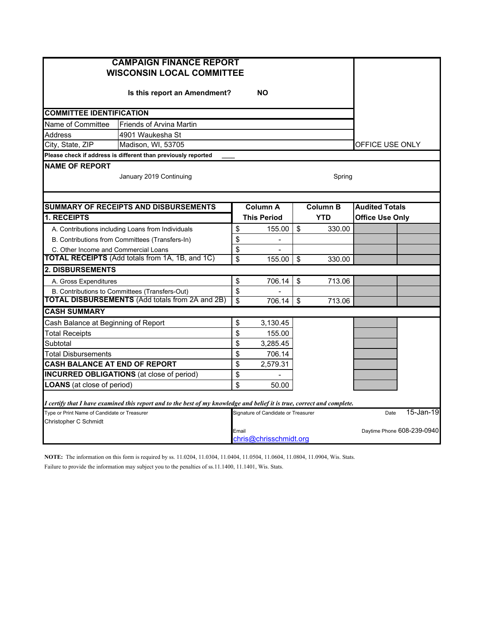| <b>CAMPAIGN FINANCE REPORT</b><br><b>WISCONSIN LOCAL COMMITTEE</b>                                                      |                 |                                     |                 |        |                        |                            |  |
|-------------------------------------------------------------------------------------------------------------------------|-----------------|-------------------------------------|-----------------|--------|------------------------|----------------------------|--|
| Is this report an Amendment?                                                                                            |                 |                                     |                 |        |                        |                            |  |
| <b>COMMITTEE IDENTIFICATION</b>                                                                                         |                 |                                     |                 |        |                        |                            |  |
| Name of Committee<br><b>Friends of Arvina Martin</b>                                                                    |                 |                                     |                 |        |                        |                            |  |
| <b>Address</b><br>4901 Waukesha St                                                                                      |                 |                                     |                 |        |                        |                            |  |
| City, State, ZIP<br>Madison, WI, 53705                                                                                  | OFFICE USE ONLY |                                     |                 |        |                        |                            |  |
| Please check if address is different than previously reported                                                           |                 |                                     |                 |        |                        |                            |  |
| <b>NAME OF REPORT</b><br>January 2019 Continuing                                                                        |                 |                                     |                 | Spring |                        |                            |  |
|                                                                                                                         |                 |                                     |                 |        |                        |                            |  |
| <b>SUMMARY OF RECEIPTS AND DISBURSEMENTS</b>                                                                            |                 | Column A                            | <b>Column B</b> |        | <b>Audited Totals</b>  |                            |  |
| <b>1. RECEIPTS</b>                                                                                                      |                 | <b>This Period</b>                  |                 | YTD    | <b>Office Use Only</b> |                            |  |
| A. Contributions including Loans from Individuals                                                                       | \$              | 155.00                              | \$              | 330.00 |                        |                            |  |
| B. Contributions from Committees (Transfers-In)                                                                         | \$              | $\qquad \qquad \blacksquare$        |                 |        |                        |                            |  |
| C. Other Income and Commercial Loans                                                                                    | \$              |                                     |                 |        |                        |                            |  |
| <b>TOTAL RECEIPTS</b> (Add totals from 1A, 1B, and 1C)                                                                  | \$              | 155.00                              | \$              | 330.00 |                        |                            |  |
| <b>2. DISBURSEMENTS</b>                                                                                                 |                 |                                     |                 |        |                        |                            |  |
| A. Gross Expenditures                                                                                                   | \$              | 706.14                              | \$              | 713.06 |                        |                            |  |
| B. Contributions to Committees (Transfers-Out)                                                                          | \$              |                                     |                 |        |                        |                            |  |
| <b>TOTAL DISBURSEMENTS (Add totals from 2A and 2B)</b>                                                                  | \$              | 706.14                              | \$              | 713.06 |                        |                            |  |
| <b>CASH SUMMARY</b>                                                                                                     |                 |                                     |                 |        |                        |                            |  |
| Cash Balance at Beginning of Report                                                                                     | \$              | 3,130.45                            |                 |        |                        |                            |  |
| <b>Total Receipts</b>                                                                                                   | \$              | 155.00                              |                 |        |                        |                            |  |
| Subtotal                                                                                                                | \$              | 3,285.45                            |                 |        |                        |                            |  |
| Total Disbursements                                                                                                     | \$              | 706.14                              |                 |        |                        |                            |  |
| CASH BALANCE AT END OF REPORT                                                                                           | \$              | 2,579.31                            |                 |        |                        |                            |  |
| <b>INCURRED OBLIGATIONS</b> (at close of period)                                                                        | \$              |                                     |                 |        |                        |                            |  |
| <b>LOANS</b> (at close of period)                                                                                       | \$              | 50.00                               |                 |        |                        |                            |  |
| I certify that I have examined this report and to the best of my knowledge and belief it is true, correct and complete. |                 |                                     |                 |        |                        |                            |  |
| Type or Print Name of Candidate or Treasurer                                                                            |                 | Signature of Candidate or Treasurer |                 |        | Date                   | 15-Jan-19                  |  |
| Christopher C Schmidt                                                                                                   | Email           | chris@chrisschmidt.org              |                 |        |                        | Daytime Phone 608-239-0940 |  |

**NOTE:** The information on this form is required by ss. 11.0204, 11.0304, 11.0404, 11.0504, 11.0604, 11.0804, 11.0904, Wis. Stats. Failure to provide the information may subject you to the penalties of ss.11.1400, 11.1401, Wis. Stats.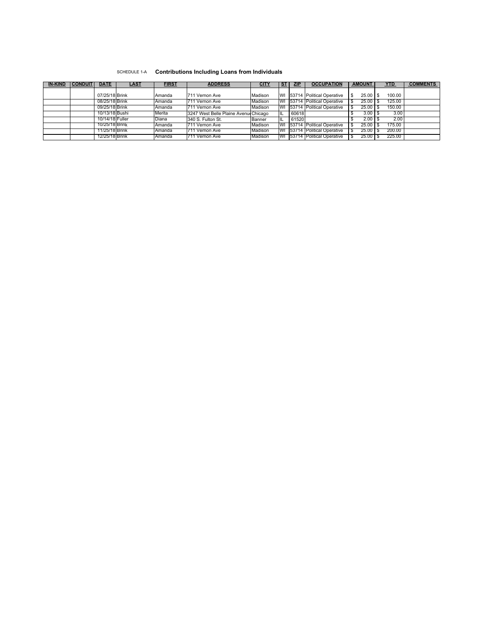## SCHEDULE 1-A **Contributions Including Loans from Individuals**

| <b>IN-KIND</b> | <b>CONDUIT</b> | <b>DATE</b>     | <u>LAST</u> | <b>FIRST</b> | <b>ADDRESS</b>                        | <b>CITY</b> | <u>ST</u> | <b>ZIP</b> | <b>OCCUPATION</b>                     | <b>AMOUNT</b>   |  | <b>YTD</b> | <b>COMMENTS</b> |
|----------------|----------------|-----------------|-------------|--------------|---------------------------------------|-------------|-----------|------------|---------------------------------------|-----------------|--|------------|-----------------|
|                |                |                 |             |              |                                       |             |           |            |                                       |                 |  |            |                 |
|                |                | 07/25/18 Brink  |             | Amanda       | 711 Vernon Ave                        | Madison     | WI        |            | 53714 Political Operative             | $25.00$ S<br>\$ |  | 100.00     |                 |
|                |                | 08/25/18 Brink  |             | Amanda       | 711 Vernon Ave                        | Madison     | WI        |            | <b>153714 Political Operative</b>     | 25.00           |  | 125.00     |                 |
|                |                | 09/25/18 Brink  |             | Amanda       | 711 Vernon Ave                        | Madison     | WI        |            | <b>153714 IPolitical Operative</b>    | 25.00           |  | 150.00     |                 |
|                |                | 10/13/18 Bushi  |             | Merita       | 3247 West Belle Plaine Avenus Chicago |             | IL        | 60618      |                                       | $3.00$ 1 \$     |  | 3.00       |                 |
|                |                | 10/14/18 Fuller |             | <b>Diana</b> | 1340 S. Fulton St.                    | Banner      | IL        | 61520      |                                       | 2.00            |  | 2.00       |                 |
|                |                | 10/25/18 Brink  |             | Amanda       | 711 Vernon Ave                        | Madison     | <b>WI</b> |            | <b>153714 Political Operative</b>     | 25.00           |  | 175.00     |                 |
|                |                | 11/25/18 Brink  |             | Amanda       | 711 Vernon Ave                        | Madison     | WI.       |            | <b>153714 Political Operative</b>     | $25.00$ S       |  | 200.00     |                 |
|                |                | 12/25/18 Brink  |             | Amanda       | 711 Vernon Ave                        | Madison     |           |            | <b>IWI 153714 Political Operative</b> | $25.00$ S       |  | 225.00     |                 |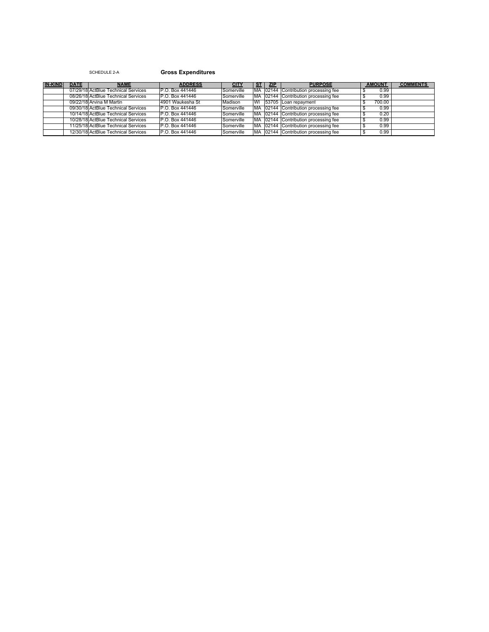## SCHEDULE 2-A **Gross Expenditures**

| <b>IN-KIND</b> | <b>DATE</b> | <b>NAME</b>                         | <b>ADDRESS</b>   | <u>CITY</u> | <u>ST</u> | <u>ZIP</u> | <b>PURPOSE</b>                        | <b>AMOUNT</b> |      | <b>COMMENTS</b> |
|----------------|-------------|-------------------------------------|------------------|-------------|-----------|------------|---------------------------------------|---------------|------|-----------------|
|                |             | 07/29/18 ActBlue Technical Services | IP.O. Box 441446 | Somerville  |           |            | MA 02144 Contribution processing fee  |               | 0.99 |                 |
|                |             | 08/26/18 ActBlue Technical Services | P.O. Box 441446  | Somerville  |           |            | IMA 02144 Contribution processing fee |               | 0.99 |                 |
|                |             | 09/22/18 Arvina M Martin            | 4901 Waukesha St | Madison     |           |            | WI 53705 Loan repayment               | 700.00        |      |                 |
|                |             | 09/30/18 ActBlue Technical Services | P.O. Box 441446  | Somerville  |           |            | MA 02144 Contribution processing fee  |               | 0.99 |                 |
|                |             | 10/14/18 ActBlue Technical Services | IP.O. Box 441446 | Somerville  |           |            | MA 02144 Contribution processing fee  |               | 0.20 |                 |
|                |             | 10/28/18 ActBlue Technical Services | IP.O. Box 441446 | Somerville  |           |            | MA 02144 Contribution processing fee  |               | 0.99 |                 |
|                |             | 11/25/18 ActBlue Technical Services | IP.O. Box 441446 | Somerville  |           |            | MA 02144 Contribution processing fee  |               | 0.99 |                 |
|                |             | 12/30/18IActBlue Technical Services | IP.O. Box 441446 | Somerville  |           |            | IMA 02144 Contribution processing fee |               | 0.99 |                 |